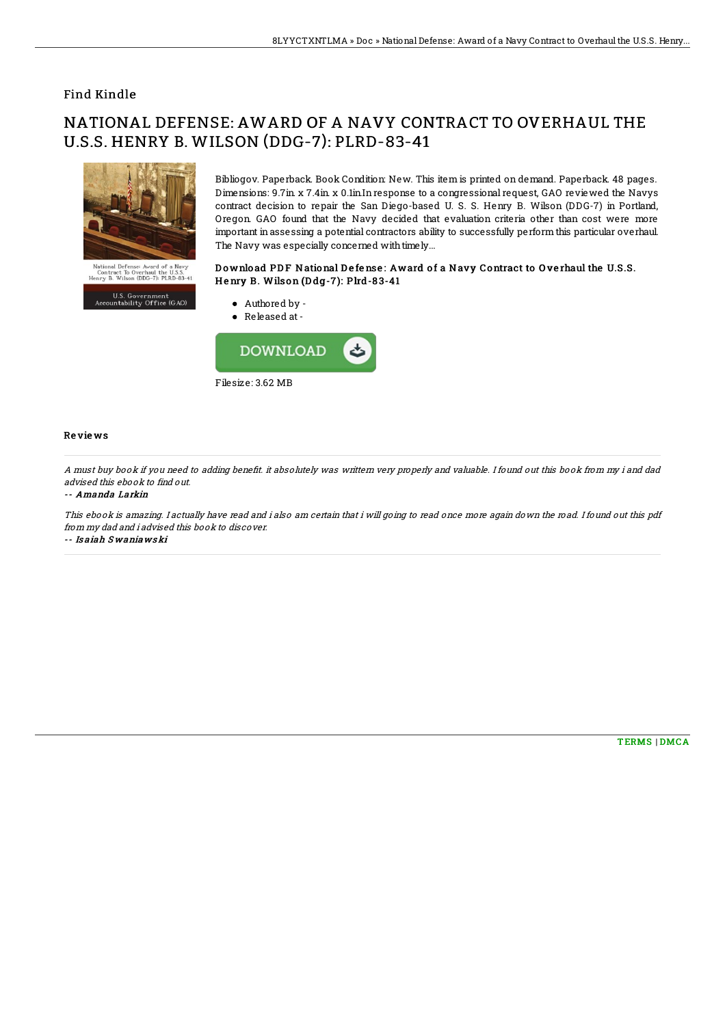## Find Kindle

# NATIONAL DEFENSE: AWARD OF A NAVY CONTRACT TO OVERHAUL THE U.S.S. HENRY B. WILSON (DDG-7): PLRD-83-41



Bibliogov. Paperback. Book Condition: New. This item is printed on demand. Paperback. 48 pages. Dimensions: 9.7in. x 7.4in. x 0.1in.Inresponse to a congressional request, GAO reviewed the Navys contract decision to repair the San Diego-based U. S. S. Henry B. Wilson (DDG-7) in Portland, Oregon. GAO found that the Navy decided that evaluation criteria other than cost were more important in assessing a potential contractors ability to successfully perform this particular overhaul. The Navy was especially concerned with timely...

### Download PDF National Defense: Award of a Navy Contract to Overhaul the U.S.S. Henry B. Wilson (Ddg-7): Plrd-83-41

U.S. Government<br>Accountability Office (GAO)



#### Re vie ws

A must buy book if you need to adding benefit. it absolutely was writtern very properly and valuable. I found out this book from my i and dad advised this ebook to find out.

#### -- Amanda Larkin

This ebook is amazing. I actually have read and i also am certain that i will going to read once more again down the road. I found out this pdf from my dad and i advised this book to discover. -- Is aiah S waniaws ki